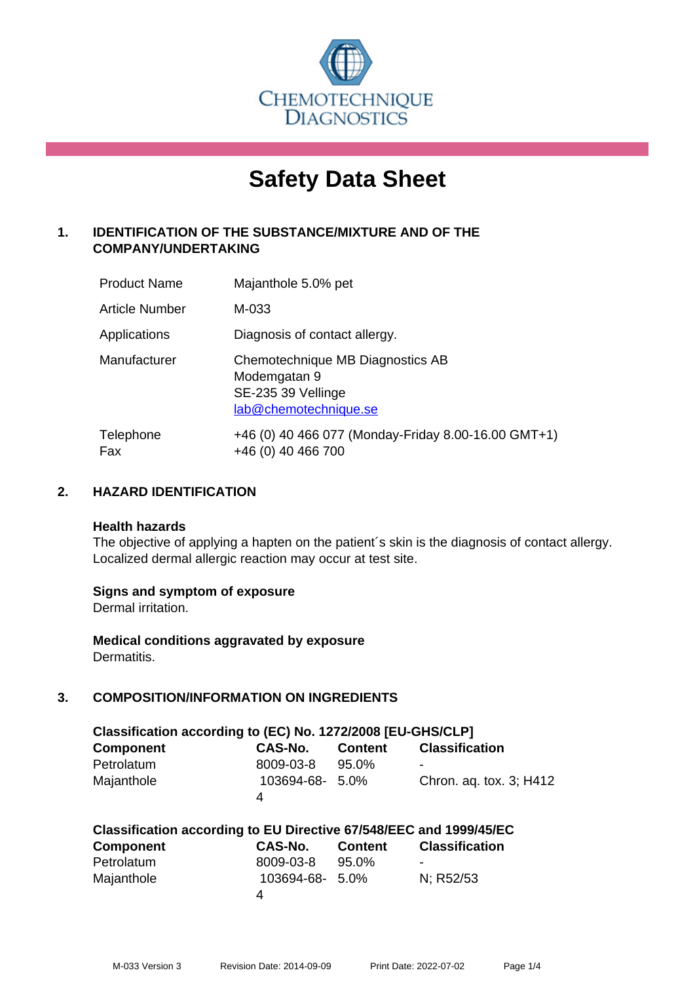

# **Safety Data Sheet**

# **1. IDENTIFICATION OF THE SUBSTANCE/MIXTURE AND OF THE COMPANY/UNDERTAKING**

| <b>Product Name</b>   | Majanthole 5.0% pet                                                                             |
|-----------------------|-------------------------------------------------------------------------------------------------|
| <b>Article Number</b> | M-033                                                                                           |
| Applications          | Diagnosis of contact allergy.                                                                   |
| Manufacturer          | Chemotechnique MB Diagnostics AB<br>Modemgatan 9<br>SE-235 39 Vellinge<br>lab@chemotechnique.se |
| Telephone<br>Fax      | +46 (0) 40 466 077 (Monday-Friday 8.00-16.00 GMT+1)<br>+46 (0) 40 466 700                       |

## **2. HAZARD IDENTIFICATION**

#### **Health hazards**

The objective of applying a hapten on the patient's skin is the diagnosis of contact allergy. Localized dermal allergic reaction may occur at test site.

## **Signs and symptom of exposure**

Dermal irritation.

**Medical conditions aggravated by exposure** Dermatitis.

# **3. COMPOSITION/INFORMATION ON INGREDIENTS**

| Classification according to (EC) No. 1272/2008 [EU-GHS/CLP] |                 |         |                         |  |  |  |
|-------------------------------------------------------------|-----------------|---------|-------------------------|--|--|--|
| <b>Component</b>                                            | CAS-No.         | Content | <b>Classification</b>   |  |  |  |
| Petrolatum                                                  | 8009-03-8       | 95.0%   | -                       |  |  |  |
| Majanthole                                                  | 103694-68- 5.0% |         | Chron. ag. tox. 3; H412 |  |  |  |
|                                                             | Δ               |         |                         |  |  |  |

| Classification according to EU Directive 67/548/EEC and 1999/45/EC |                 |                |                          |  |  |
|--------------------------------------------------------------------|-----------------|----------------|--------------------------|--|--|
| <b>Component</b>                                                   | <b>CAS-No.</b>  | <b>Content</b> | <b>Classification</b>    |  |  |
| Petrolatum                                                         | 8009-03-8       | 95.0%          | $\overline{\phantom{a}}$ |  |  |
| Majanthole                                                         | 103694-68- 5.0% |                | N: R52/53                |  |  |
|                                                                    | Δ               |                |                          |  |  |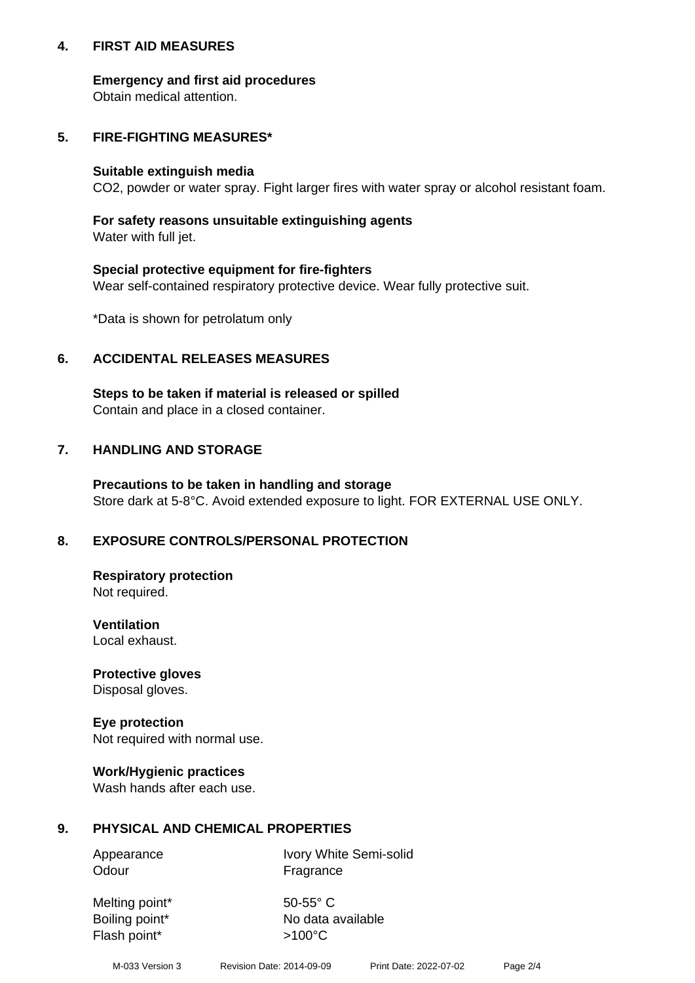## **4. FIRST AID MEASURES**

## **Emergency and first aid procedures**

Obtain medical attention.

# **5. FIRE-FIGHTING MEASURES\***

#### **Suitable extinguish media**

CO2, powder or water spray. Fight larger fires with water spray or alcohol resistant foam.

# **For safety reasons unsuitable extinguishing agents**

Water with full jet.

## **Special protective equipment for fire-fighters**

Wear self-contained respiratory protective device. Wear fully protective suit.

\*Data is shown for petrolatum only

## **6. ACCIDENTAL RELEASES MEASURES**

**Steps to be taken if material is released or spilled** Contain and place in a closed container.

# **7. HANDLING AND STORAGE**

**Precautions to be taken in handling and storage** Store dark at 5-8°C. Avoid extended exposure to light. FOR EXTERNAL USE ONLY.

# **8. EXPOSURE CONTROLS/PERSONAL PROTECTION**

**Respiratory protection** Not required.

**Ventilation** Local exhaust.

**Protective gloves** Disposal gloves.

#### **Eye protection** Not required with normal use.

## **Work/Hygienic practices**

Wash hands after each use.

## **9. PHYSICAL AND CHEMICAL PROPERTIES**

Odour Fragrance

Appearance Ivory White Semi-solid

Melting point\* 50-55° C Flash point\*  $>100^{\circ}$ C

Boiling point\* No data available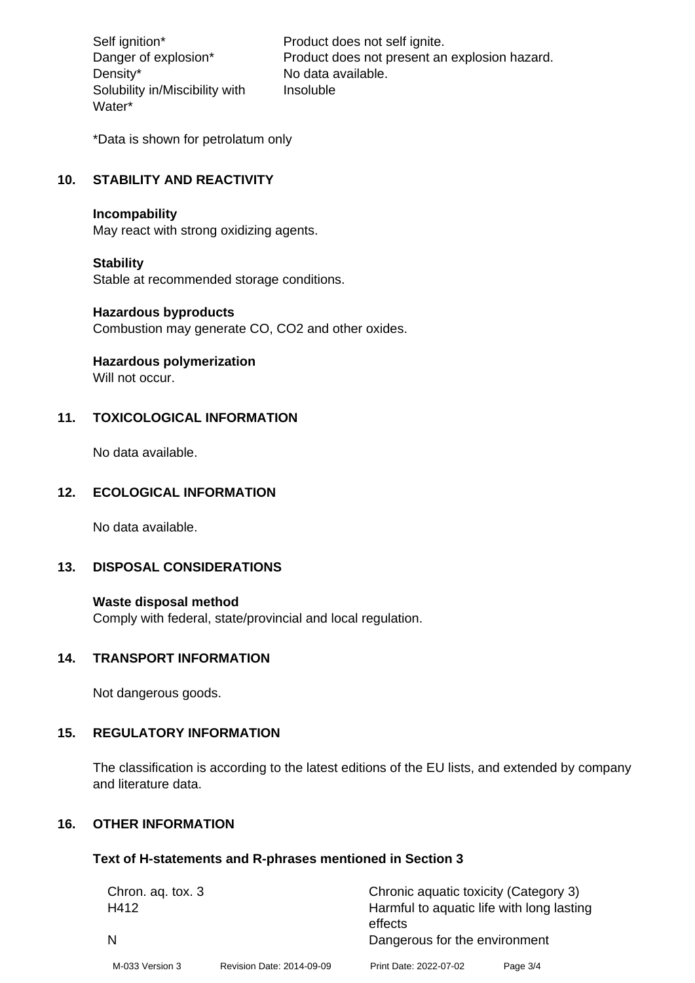Density\* No data available. Solubility in/Miscibility with Water\*

Self ignition\* Product does not self ignite. Danger of explosion\* Product does not present an explosion hazard. Insoluble

\*Data is shown for petrolatum only

## **10. STABILITY AND REACTIVITY**

#### **Incompability**

May react with strong oxidizing agents.

#### **Stability**

Stable at recommended storage conditions.

#### **Hazardous byproducts**

Combustion may generate CO, CO2 and other oxides.

**Hazardous polymerization**

Will not occur.

## **11. TOXICOLOGICAL INFORMATION**

No data available.

#### **12. ECOLOGICAL INFORMATION**

No data available.

## **13. DISPOSAL CONSIDERATIONS**

#### **Waste disposal method**

Comply with federal, state/provincial and local regulation.

#### **14. TRANSPORT INFORMATION**

Not dangerous goods.

# **15. REGULATORY INFORMATION**

The classification is according to the latest editions of the EU lists, and extended by company and literature data.

#### **16. OTHER INFORMATION**

#### **Text of H-statements and R-phrases mentioned in Section 3**

| Chron. aq. tox. 3 |                           | Chronic aquatic toxicity (Category 3)     |          |  |
|-------------------|---------------------------|-------------------------------------------|----------|--|
| H412              |                           | Harmful to aquatic life with long lasting |          |  |
|                   |                           | effects                                   |          |  |
|                   |                           | Dangerous for the environment             |          |  |
| M-033 Version 3   | Revision Date: 2014-09-09 | Print Date: 2022-07-02                    | Page 3/4 |  |